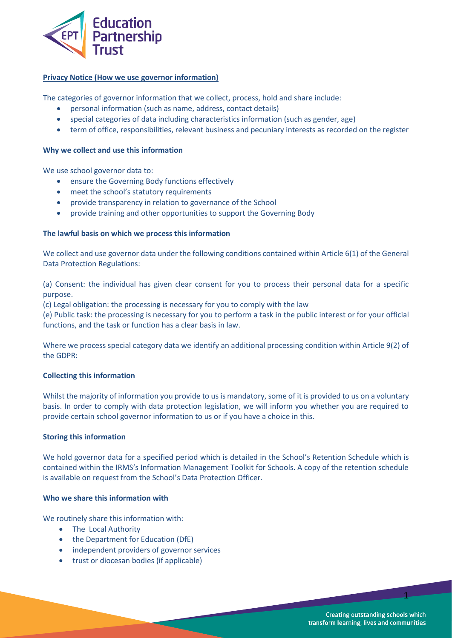

# **Privacy Notice (How we use governor information)**

The categories of governor information that we collect, process, hold and share include:

- personal information (such as name, address, contact details)
- special categories of data including characteristics information (such as gender, age)
- term of office, responsibilities, relevant business and pecuniary interests as recorded on the register

#### **Why we collect and use this information**

We use school governor data to:

- ensure the Governing Body functions effectively
- meet the school's statutory requirements
- provide transparency in relation to governance of the School
- provide training and other opportunities to support the Governing Body

### **The lawful basis on which we process this information**

We collect and use governor data under the following conditions contained within Article 6(1) of the General Data Protection Regulations:

(a) Consent: the individual has given clear consent for you to process their personal data for a specific purpose.

(c) Legal obligation: the processing is necessary for you to comply with the law

(e) Public task: the processing is necessary for you to perform a task in the public interest or for your official functions, and the task or function has a clear basis in law.

Where we process special category data we identify an additional processing condition within Article 9(2) of the GDPR:

#### **Collecting this information**

Whilst the majority of information you provide to us is mandatory, some of it is provided to us on a voluntary basis. In order to comply with data protection legislation, we will inform you whether you are required to provide certain school governor information to us or if you have a choice in this.

#### **Storing this information**

We hold governor data for a specified period which is detailed in the School's Retention Schedule which is contained within the IRMS's Information Management Toolkit for Schools. A copy of the retention schedule is available on request from the School's Data Protection Officer.

# **Who we share this information with**

We routinely share this information with:

- The Local Authority
- the Department for Education (DfE)
- independent providers of governor services
- trust or diocesan bodies (if applicable)

**Creating outstanding schools which** transform learning, lives and communities

1